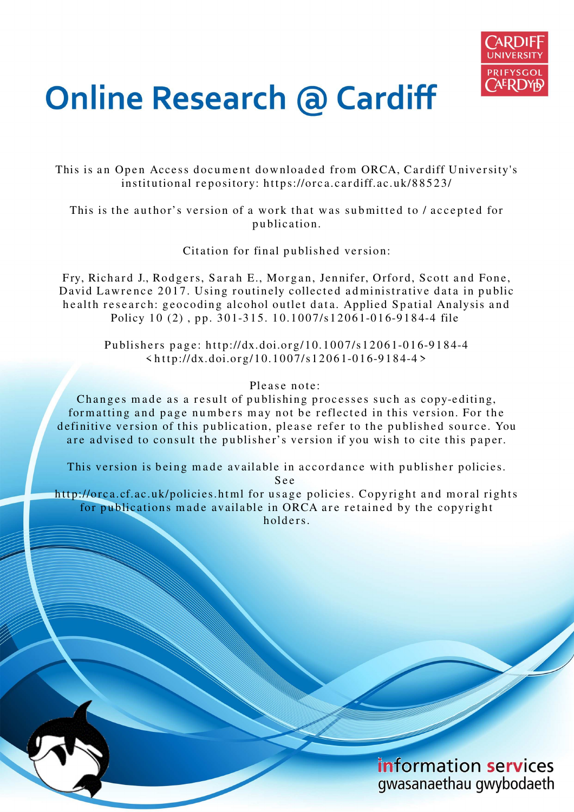

# **Online Research @ Cardiff**

This is an Open Access document downloaded from ORCA, Cardiff University's institutional repository: https://orca.cardiff.ac.uk/88523/

This is the author's version of a work that was submitted to / accepted for p u blication.

Citation for final published version:

Fry, Richard J., Rodgers, Sarah E., Morgan, Jennifer, Orford, Scott and Fone, David Lawrence 2017. Using routinely collected administrative data in public he alth research: geocoding alcohol outlet data. Applied Spatial Analysis and Policy 10 (2), pp. 301-315. 10.1007/s12061-016-9184-4 file

Publishers page: http://dx.doi.org/10.1007/s12061-016-9184-4  $\langle \text{http://dx.doi.org/10.1007/s12061-016-9184-4} \rangle$ 

# Please note:

Changes made as a result of publishing processes such as copy-editing, formatting and page numbers may not be reflected in this version. For the definitive version of this publication, please refer to the published source. You are advised to consult the publisher's version if you wish to cite this paper.

This version is being made available in accordance with publisher policies.

S e e

http://orca.cf.ac.uk/policies.html for usage policies. Copyright and moral rights for publications made available in ORCA are retained by the copyright holders

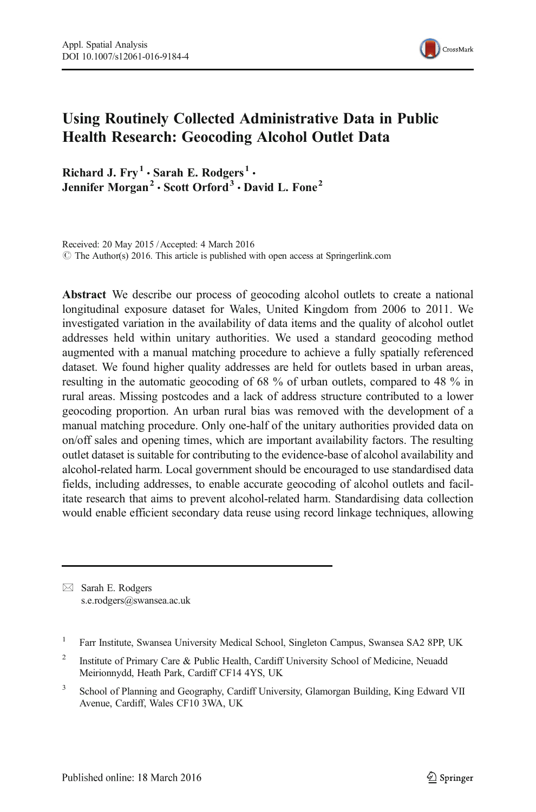

# Using Routinely Collected Administrative Data in Public Health Research: Geocoding Alcohol Outlet Data

Richard J.  $\mathrm{Fry^1}\cdot \mathrm{Sarah}\ \mathrm{E.}\ \mathrm{Rodgers^1} \cdot$ Jennifer Morgan<sup>2</sup> • Scott Orford<sup>3</sup> • David L. Fone<sup>2</sup>

Received: 20 May 2015 /Accepted: 4 March 2016  $\odot$  The Author(s) 2016. This article is published with open access at Springerlink.com

Abstract We describe our process of geocoding alcohol outlets to create a national longitudinal exposure dataset for Wales, United Kingdom from 2006 to 2011. We investigated variation in the availability of data items and the quality of alcohol outlet addresses held within unitary authorities. We used a standard geocoding method augmented with a manual matching procedure to achieve a fully spatially referenced dataset. We found higher quality addresses are held for outlets based in urban areas, resulting in the automatic geocoding of 68 % of urban outlets, compared to 48 % in rural areas. Missing postcodes and a lack of address structure contributed to a lower geocoding proportion. An urban rural bias was removed with the development of a manual matching procedure. Only one-half of the unitary authorities provided data on on/off sales and opening times, which are important availability factors. The resulting outlet dataset is suitable for contributing to the evidence-base of alcohol availability and alcohol-related harm. Local government should be encouraged to use standardised data fields, including addresses, to enable accurate geocoding of alcohol outlets and facilitate research that aims to prevent alcohol-related harm. Standardising data collection would enable efficient secondary data reuse using record linkage techniques, allowing

 $\boxtimes$  Sarah E. Rodgers s.e.rodgers@swansea.ac.uk

<sup>1</sup> Farr Institute, Swansea University Medical School, Singleton Campus, Swansea SA2 8PP, UK

<sup>2</sup> Institute of Primary Care & Public Health, Cardiff University School of Medicine, Neuadd Meirionnydd, Heath Park, Cardiff CF14 4YS, UK

<sup>3</sup> School of Planning and Geography, Cardiff University, Glamorgan Building, King Edward VII Avenue, Cardiff, Wales CF10 3WA, UK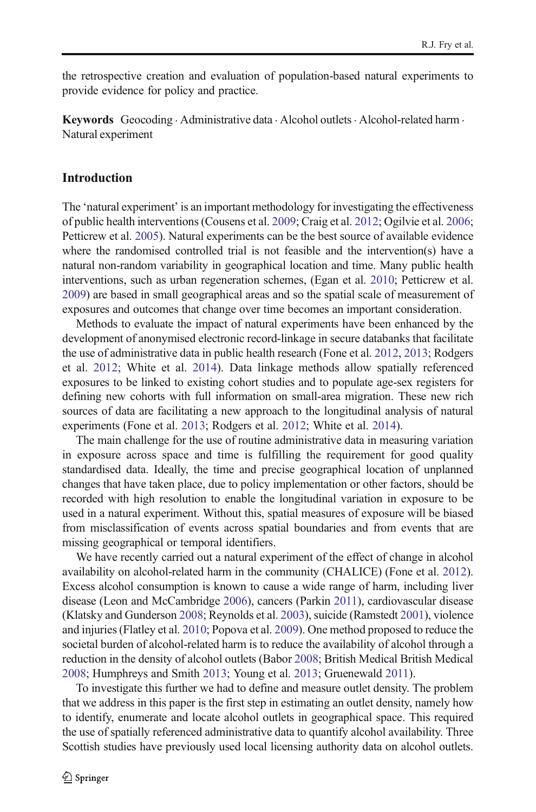the retrospective creation and evaluation of population-based natural experiments to provide evidence for policy and practice.

Keywords Geocoding · Administrative data · Alcohol outlets · Alcohol-related harm · Natural experiment

# Introduction

The 'natural experiment' is an important methodology for investigating the effectiveness of public health interventions (Cousens et al. [2009;](#page-13-0) Craig et al. [2012](#page-13-0); Ogilvie et al. [2006;](#page-14-0) Petticrew et al. [2005](#page-14-0)). Natural experiments can be the best source of available evidence where the randomised controlled trial is not feasible and the intervention(s) have a natural non-random variability in geographical location and time. Many public health interventions, such as urban regeneration schemes, (Egan et al. [2010](#page-13-0); Petticrew et al. [2009\)](#page-14-0) are based in small geographical areas and so the spatial scale of measurement of exposures and outcomes that change over time becomes an important consideration.

Methods to evaluate the impact of natural experiments have been enhanced by the development of anonymised electronic record-linkage in secure databanks that facilitate the use of administrative data in public health research (Fone et al. [2012,](#page-13-0) [2013](#page-13-0); Rodgers et al. [2012;](#page-14-0) White et al. [2014\)](#page-15-0). Data linkage methods allow spatially referenced exposures to be linked to existing cohort studies and to populate age-sex registers for defining new cohorts with full information on small-area migration. These new rich sources of data are facilitating a new approach to the longitudinal analysis of natural experiments (Fone et al. [2013](#page-13-0); Rodgers et al. [2012](#page-14-0); White et al. [2014\)](#page-15-0).

The main challenge for the use of routine administrative data in measuring variation in exposure across space and time is fulfilling the requirement for good quality standardised data. Ideally, the time and precise geographical location of unplanned changes that have taken place, due to policy implementation or other factors, should be recorded with high resolution to enable the longitudinal variation in exposure to be used in a natural experiment. Without this, spatial measures of exposure will be biased from misclassification of events across spatial boundaries and from events that are missing geographical or temporal identifiers.

We have recently carried out a natural experiment of the effect of change in alcohol availability on alcohol-related harm in the community (CHALICE) (Fone et al. [2012\)](#page-13-0). Excess alcohol consumption is known to cause a wide range of harm, including liver disease (Leon and McCambridge [2006\)](#page-14-0), cancers (Parkin [2011](#page-14-0)), cardiovascular disease (Klatsky and Gunderson [2008;](#page-14-0) Reynolds et al. [2003\)](#page-14-0), suicide (Ramstedt [2001\)](#page-14-0), violence and injuries (Flatley et al. [2010](#page-13-0); Popova et al. [2009\)](#page-14-0). One method proposed to reduce the societal burden of alcohol-related harm is to reduce the availability of alcohol through a reduction in the density of alcohol outlets (Babor [2008](#page-13-0); British Medical British Medical [2008;](#page-13-0) Humphreys and Smith [2013](#page-14-0); Young et al. [2013;](#page-15-0) Gruenewald [2011](#page-14-0)).

To investigate this further we had to define and measure outlet density. The problem that we address in this paper is the first step in estimating an outlet density, namely how to identify, enumerate and locate alcohol outlets in geographical space. This required the use of spatially referenced administrative data to quantify alcohol availability. Three Scottish studies have previously used local licensing authority data on alcohol outlets.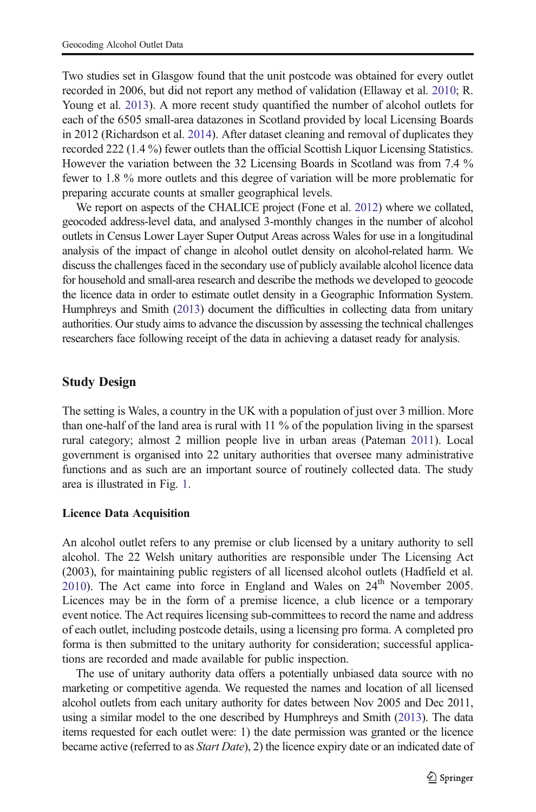Two studies set in Glasgow found that the unit postcode was obtained for every outlet recorded in 2006, but did not report any method of validation (Ellaway et al. [2010;](#page-13-0) R. Young et al. [2013](#page-15-0)). A more recent study quantified the number of alcohol outlets for each of the 6505 small-area datazones in Scotland provided by local Licensing Boards in 2012 (Richardson et al. [2014\)](#page-14-0). After dataset cleaning and removal of duplicates they recorded 222 (1.4 %) fewer outlets than the official Scottish Liquor Licensing Statistics. However the variation between the 32 Licensing Boards in Scotland was from 7.4 % fewer to 1.8 % more outlets and this degree of variation will be more problematic for preparing accurate counts at smaller geographical levels.

We report on aspects of the CHALICE project (Fone et al. [2012](#page-13-0)) where we collated, geocoded address-level data, and analysed 3-monthly changes in the number of alcohol outlets in Census Lower Layer Super Output Areas across Wales for use in a longitudinal analysis of the impact of change in alcohol outlet density on alcohol-related harm. We discuss the challenges faced in the secondary use of publicly available alcohol licence data for household and small-area research and describe the methods we developed to geocode the licence data in order to estimate outlet density in a Geographic Information System. Humphreys and Smith [\(2013](#page-14-0)) document the difficulties in collecting data from unitary authorities. Our study aims to advance the discussion by assessing the technical challenges researchers face following receipt of the data in achieving a dataset ready for analysis.

# Study Design

The setting is Wales, a country in the UK with a population of just over 3 million. More than one-half of the land area is rural with 11 % of the population living in the sparsest rural category; almost 2 million people live in urban areas (Pateman [2011](#page-14-0)). Local government is organised into 22 unitary authorities that oversee many administrative functions and as such are an important source of routinely collected data. The study area is illustrated in Fig. [1](#page-4-0).

# Licence Data Acquisition

An alcohol outlet refers to any premise or club licensed by a unitary authority to sell alcohol. The 22 Welsh unitary authorities are responsible under The Licensing Act (2003), for maintaining public registers of all licensed alcohol outlets (Hadfield et al. [2010\)](#page-14-0). The Act came into force in England and Wales on  $24<sup>th</sup>$  November 2005. Licences may be in the form of a premise licence, a club licence or a temporary event notice. The Act requires licensing sub-committees to record the name and address of each outlet, including postcode details, using a licensing pro forma. A completed pro forma is then submitted to the unitary authority for consideration; successful applications are recorded and made available for public inspection.

The use of unitary authority data offers a potentially unbiased data source with no marketing or competitive agenda. We requested the names and location of all licensed alcohol outlets from each unitary authority for dates between Nov 2005 and Dec 2011, using a similar model to the one described by Humphreys and Smith ([2013\)](#page-14-0). The data items requested for each outlet were: 1) the date permission was granted or the licence became active (referred to as *Start Date*), 2) the licence expiry date or an indicated date of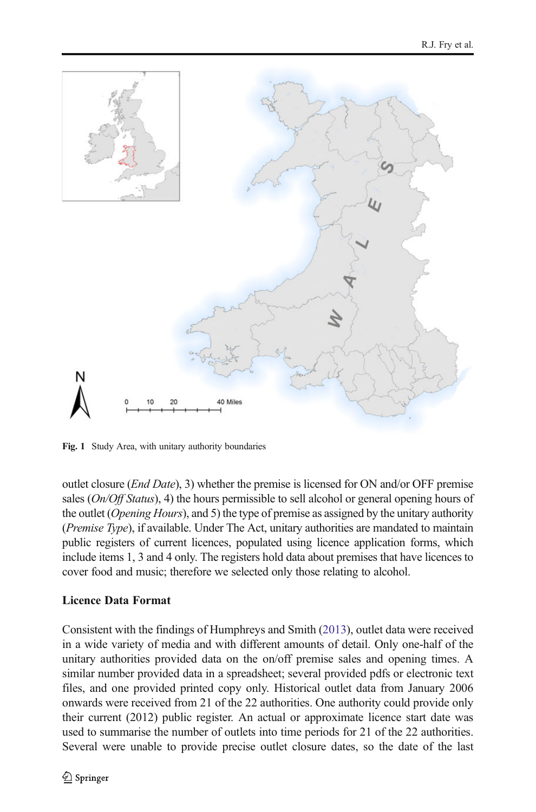<span id="page-4-0"></span>

Fig. 1 Study Area, with unitary authority boundaries

outlet closure (*End Date*), 3) whether the premise is licensed for ON and/or OFF premise sales (*On/Off Status*), 4) the hours permissible to sell alcohol or general opening hours of the outlet (*Opening Hours*), and 5) the type of premise as assigned by the unitary authority (*Premise Type*), if available. Under The Act, unitary authorities are mandated to maintain public registers of current licences, populated using licence application forms, which include items 1, 3 and 4 only. The registers hold data about premises that have licences to cover food and music; therefore we selected only those relating to alcohol.

# Licence Data Format

Consistent with the findings of Humphreys and Smith ([2013](#page-14-0)), outlet data were received in a wide variety of media and with different amounts of detail. Only one-half of the unitary authorities provided data on the on/off premise sales and opening times. A similar number provided data in a spreadsheet; several provided pdfs or electronic text files, and one provided printed copy only. Historical outlet data from January 2006 onwards were received from 21 of the 22 authorities. One authority could provide only their current (2012) public register. An actual or approximate licence start date was used to summarise the number of outlets into time periods for 21 of the 22 authorities. Several were unable to provide precise outlet closure dates, so the date of the last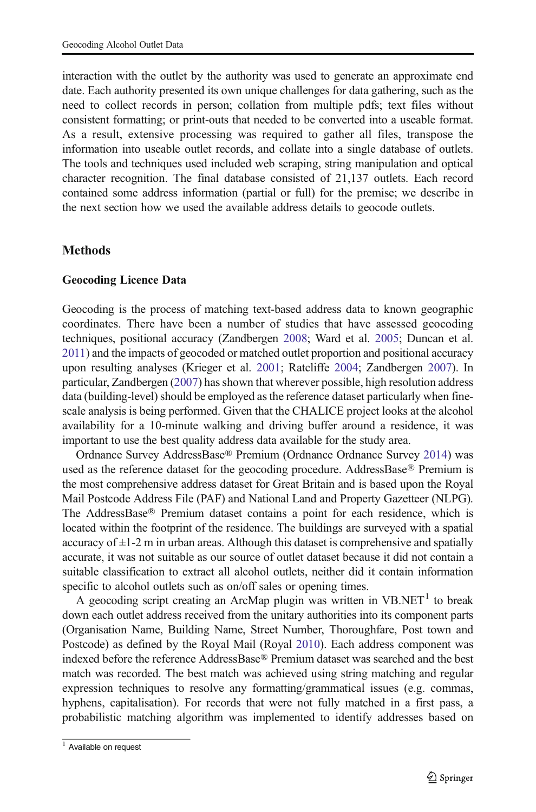interaction with the outlet by the authority was used to generate an approximate end date. Each authority presented its own unique challenges for data gathering, such as the need to collect records in person; collation from multiple pdfs; text files without consistent formatting; or print-outs that needed to be converted into a useable format. As a result, extensive processing was required to gather all files, transpose the information into useable outlet records, and collate into a single database of outlets. The tools and techniques used included web scraping, string manipulation and optical character recognition. The final database consisted of 21,137 outlets. Each record contained some address information (partial or full) for the premise; we describe in the next section how we used the available address details to geocode outlets.

# **Methods**

# Geocoding Licence Data

Geocoding is the process of matching text-based address data to known geographic coordinates. There have been a number of studies that have assessed geocoding techniques, positional accuracy (Zandbergen [2008;](#page-15-0) Ward et al. [2005](#page-14-0); Duncan et al. [2011](#page-13-0)) and the impacts of geocoded or matched outlet proportion and positional accuracy upon resulting analyses (Krieger et al. [2001](#page-14-0); Ratcliffe [2004;](#page-14-0) Zandbergen [2007\)](#page-15-0). In particular, Zandbergen ([2007](#page-15-0)) has shown that wherever possible, high resolution address data (building-level) should be employed as the reference dataset particularly when finescale analysis is being performed. Given that the CHALICE project looks at the alcohol availability for a 10-minute walking and driving buffer around a residence, it was important to use the best quality address data available for the study area.

Ordnance Survey AddressBase® Premium (Ordnance Ordnance Survey [2014\)](#page-14-0) was used as the reference dataset for the geocoding procedure. AddressBase® Premium is the most comprehensive address dataset for Great Britain and is based upon the Royal Mail Postcode Address File (PAF) and National Land and Property Gazetteer (NLPG). The AddressBase® Premium dataset contains a point for each residence, which is located within the footprint of the residence. The buildings are surveyed with a spatial accuracy of  $\pm$ 1-2 m in urban areas. Although this dataset is comprehensive and spatially accurate, it was not suitable as our source of outlet dataset because it did not contain a suitable classification to extract all alcohol outlets, neither did it contain information specific to alcohol outlets such as on/off sales or opening times.

A geocoding script creating an ArcMap plugin was written in VB.NET $<sup>1</sup>$  to break</sup> down each outlet address received from the unitary authorities into its component parts (Organisation Name, Building Name, Street Number, Thoroughfare, Post town and Postcode) as defined by the Royal Mail (Royal [2010](#page-14-0)). Each address component was indexed before the reference AddressBase® Premium dataset was searched and the best match was recorded. The best match was achieved using string matching and regular expression techniques to resolve any formatting/grammatical issues (e.g. commas, hyphens, capitalisation). For records that were not fully matched in a first pass, a probabilistic matching algorithm was implemented to identify addresses based on

<sup>&</sup>lt;sup>1</sup> Available on request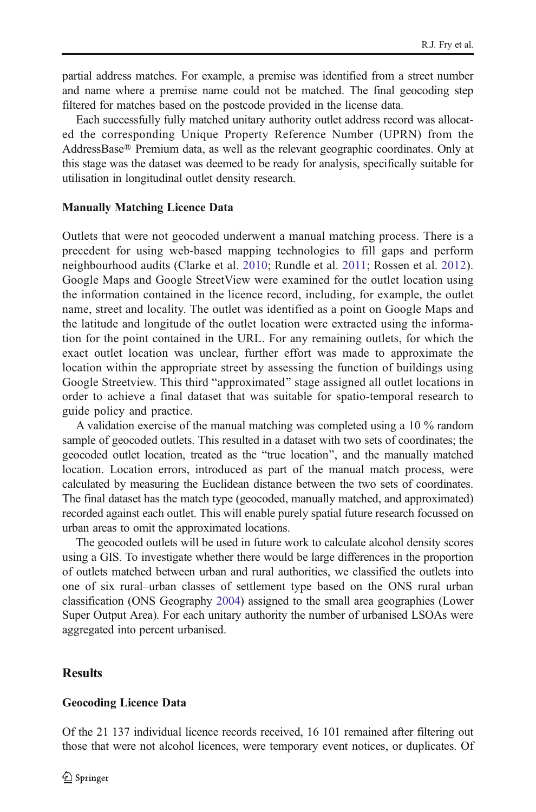partial address matches. For example, a premise was identified from a street number and name where a premise name could not be matched. The final geocoding step filtered for matches based on the postcode provided in the license data.

Each successfully fully matched unitary authority outlet address record was allocated the corresponding Unique Property Reference Number (UPRN) from the AddressBase® Premium data, as well as the relevant geographic coordinates. Only at this stage was the dataset was deemed to be ready for analysis, specifically suitable for utilisation in longitudinal outlet density research.

#### Manually Matching Licence Data

Outlets that were not geocoded underwent a manual matching process. There is a precedent for using web-based mapping technologies to fill gaps and perform neighbourhood audits (Clarke et al. [2010;](#page-13-0) Rundle et al. [2011;](#page-14-0) Rossen et al. [2012\)](#page-14-0). Google Maps and Google StreetView were examined for the outlet location using the information contained in the licence record, including, for example, the outlet name, street and locality. The outlet was identified as a point on Google Maps and the latitude and longitude of the outlet location were extracted using the information for the point contained in the URL. For any remaining outlets, for which the exact outlet location was unclear, further effort was made to approximate the location within the appropriate street by assessing the function of buildings using Google Streetview. This third "approximated" stage assigned all outlet locations in order to achieve a final dataset that was suitable for spatio-temporal research to guide policy and practice.

A validation exercise of the manual matching was completed using a 10 % random sample of geocoded outlets. This resulted in a dataset with two sets of coordinates; the geocoded outlet location, treated as the "true location", and the manually matched location. Location errors, introduced as part of the manual match process, were calculated by measuring the Euclidean distance between the two sets of coordinates. The final dataset has the match type (geocoded, manually matched, and approximated) recorded against each outlet. This will enable purely spatial future research focussed on urban areas to omit the approximated locations.

The geocoded outlets will be used in future work to calculate alcohol density scores using a GIS. To investigate whether there would be large differences in the proportion of outlets matched between urban and rural authorities, we classified the outlets into one of six rural–urban classes of settlement type based on the ONS rural urban classification (ONS Geography [2004](#page-13-0)) assigned to the small area geographies (Lower Super Output Area). For each unitary authority the number of urbanised LSOAs were aggregated into percent urbanised.

# **Results**

#### Geocoding Licence Data

Of the 21 137 individual licence records received, 16 101 remained after filtering out those that were not alcohol licences, were temporary event notices, or duplicates. Of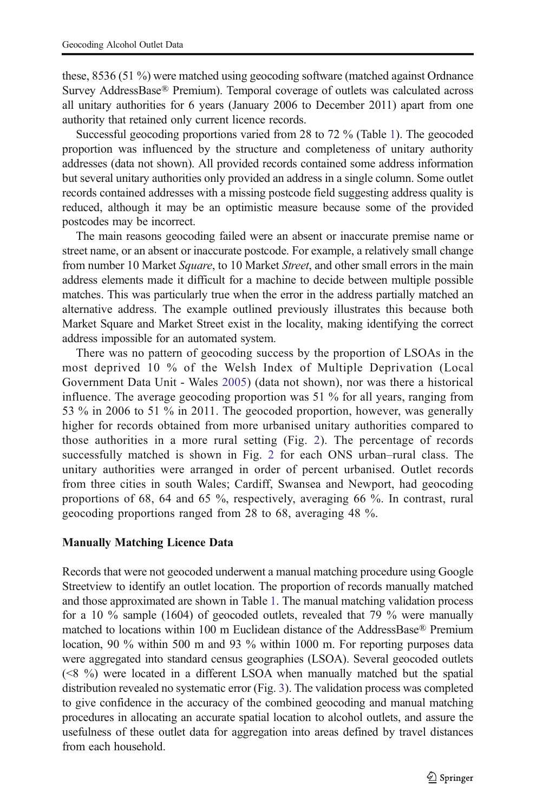these, 8536 (51 %) were matched using geocoding software (matched against Ordnance Survey AddressBase® Premium). Temporal coverage of outlets was calculated across all unitary authorities for 6 years (January 2006 to December 2011) apart from one authority that retained only current licence records.

Successful geocoding proportions varied from 28 to 72 % (Table [1\)](#page-8-0). The geocoded proportion was influenced by the structure and completeness of unitary authority addresses (data not shown). All provided records contained some address information but several unitary authorities only provided an address in a single column. Some outlet records contained addresses with a missing postcode field suggesting address quality is reduced, although it may be an optimistic measure because some of the provided postcodes may be incorrect.

The main reasons geocoding failed were an absent or inaccurate premise name or street name, or an absent or inaccurate postcode. For example, a relatively small change from number 10 Market *Square*, to 10 Market *Street*, and other small errors in the main address elements made it difficult for a machine to decide between multiple possible matches. This was particularly true when the error in the address partially matched an alternative address. The example outlined previously illustrates this because both Market Square and Market Street exist in the locality, making identifying the correct address impossible for an automated system.

There was no pattern of geocoding success by the proportion of LSOAs in the most deprived 10 % of the Welsh Index of Multiple Deprivation (Local Government Data Unit - Wales [2005\)](#page-14-0) (data not shown), nor was there a historical influence. The average geocoding proportion was 51 % for all years, ranging from 53 % in 2006 to 51 % in 2011. The geocoded proportion, however, was generally higher for records obtained from more urbanised unitary authorities compared to those authorities in a more rural setting (Fig. [2\)](#page-9-0). The percentage of records successfully matched is shown in Fig. [2](#page-9-0) for each ONS urban–rural class. The unitary authorities were arranged in order of percent urbanised. Outlet records from three cities in south Wales; Cardiff, Swansea and Newport, had geocoding proportions of 68, 64 and 65 %, respectively, averaging 66 %. In contrast, rural geocoding proportions ranged from 28 to 68, averaging 48 %.

# Manually Matching Licence Data

Records that were not geocoded underwent a manual matching procedure using Google Streetview to identify an outlet location. The proportion of records manually matched and those approximated are shown in Table [1.](#page-8-0) The manual matching validation process for a 10 % sample (1604) of geocoded outlets, revealed that 79 % were manually matched to locations within 100 m Euclidean distance of the AddressBase® Premium location, 90 % within 500 m and 93 % within 1000 m. For reporting purposes data were aggregated into standard census geographies (LSOA). Several geocoded outlets (<8 %) were located in a different LSOA when manually matched but the spatial distribution revealed no systematic error (Fig. [3\)](#page-10-0). The validation process was completed to give confidence in the accuracy of the combined geocoding and manual matching procedures in allocating an accurate spatial location to alcohol outlets, and assure the usefulness of these outlet data for aggregation into areas defined by travel distances from each household.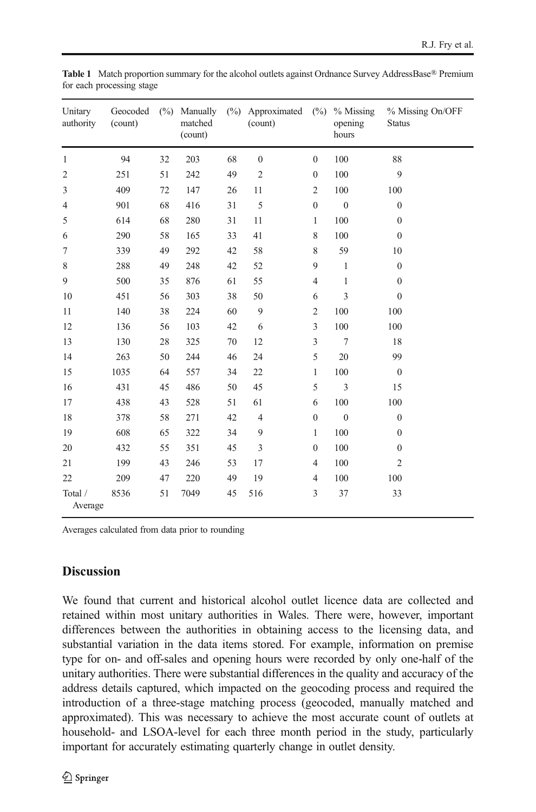| Unitary<br>authority | Geocoded<br>(count) | $(\%)$ | Manually<br>matched<br>(count) | $(\%)$ | Approximated<br>(count) | $(\%)$           | $%$ Missing<br>opening<br>hours | % Missing On/OFF<br><b>Status</b> |
|----------------------|---------------------|--------|--------------------------------|--------|-------------------------|------------------|---------------------------------|-----------------------------------|
| $\mathbf{1}$         | 94                  | 32     | 203                            | 68     | $\mathbf{0}$            | $\mathbf{0}$     | 100                             | 88                                |
| $\mathfrak{2}$       | 251                 | 51     | 242                            | 49     | $\overline{c}$          | $\mathbf{0}$     | 100                             | 9                                 |
| 3                    | 409                 | 72     | 147                            | 26     | 11                      | $\overline{c}$   | 100                             | 100                               |
| $\overline{4}$       | 901                 | 68     | 416                            | 31     | 5                       | $\mathbf{0}$     | $\mathbf{0}$                    | $\mathbf{0}$                      |
| 5                    | 614                 | 68     | 280                            | 31     | 11                      | $\mathbf{1}$     | 100                             | $\mathbf{0}$                      |
| 6                    | 290                 | 58     | 165                            | 33     | 41                      | 8                | 100                             | $\mathbf{0}$                      |
| 7                    | 339                 | 49     | 292                            | 42     | 58                      | 8                | 59                              | 10                                |
| 8                    | 288                 | 49     | 248                            | 42     | 52                      | 9                | $\mathbf{1}$                    | $\mathbf{0}$                      |
| 9                    | 500                 | 35     | 876                            | 61     | 55                      | $\overline{4}$   | $\mathbf{1}$                    | $\mathbf{0}$                      |
| 10                   | 451                 | 56     | 303                            | 38     | 50                      | 6                | 3                               | $\mathbf{0}$                      |
| 11                   | 140                 | 38     | 224                            | 60     | 9                       | $\mathfrak{2}$   | 100                             | 100                               |
| 12                   | 136                 | 56     | 103                            | 42     | 6                       | 3                | 100                             | 100                               |
| 13                   | 130                 | 28     | 325                            | 70     | 12                      | 3                | $\tau$                          | 18                                |
| 14                   | 263                 | 50     | 244                            | 46     | 24                      | 5                | 20                              | 99                                |
| 15                   | 1035                | 64     | 557                            | 34     | 22                      | $\mathbf{1}$     | 100                             | $\mathbf{0}$                      |
| 16                   | 431                 | 45     | 486                            | 50     | 45                      | 5                | 3                               | 15                                |
| 17                   | 438                 | 43     | 528                            | 51     | 61                      | 6                | 100                             | 100                               |
| 18                   | 378                 | 58     | 271                            | 42     | $\overline{4}$          | $\boldsymbol{0}$ | $\mathbf{0}$                    | $\mathbf{0}$                      |
| 19                   | 608                 | 65     | 322                            | 34     | 9                       | $\mathbf{1}$     | 100                             | $\mathbf{0}$                      |
| 20                   | 432                 | 55     | 351                            | 45     | 3                       | $\mathbf{0}$     | 100                             | $\mathbf{0}$                      |
| 21                   | 199                 | 43     | 246                            | 53     | 17                      | $\overline{4}$   | 100                             | $\overline{2}$                    |
| 22                   | 209                 | 47     | 220                            | 49     | 19                      | $\overline{4}$   | 100                             | 100                               |
| Total /<br>Average   | 8536                | 51     | 7049                           | 45     | 516                     | 3                | 37                              | 33                                |

<span id="page-8-0"></span>Table 1 Match proportion summary for the alcohol outlets against Ordnance Survey AddressBase® Premium for each processing stage

Averages calculated from data prior to rounding

# **Discussion**

We found that current and historical alcohol outlet licence data are collected and retained within most unitary authorities in Wales. There were, however, important differences between the authorities in obtaining access to the licensing data, and substantial variation in the data items stored. For example, information on premise type for on- and off-sales and opening hours were recorded by only one-half of the unitary authorities. There were substantial differences in the quality and accuracy of the address details captured, which impacted on the geocoding process and required the introduction of a three-stage matching process (geocoded, manually matched and approximated). This was necessary to achieve the most accurate count of outlets at household- and LSOA-level for each three month period in the study, particularly important for accurately estimating quarterly change in outlet density.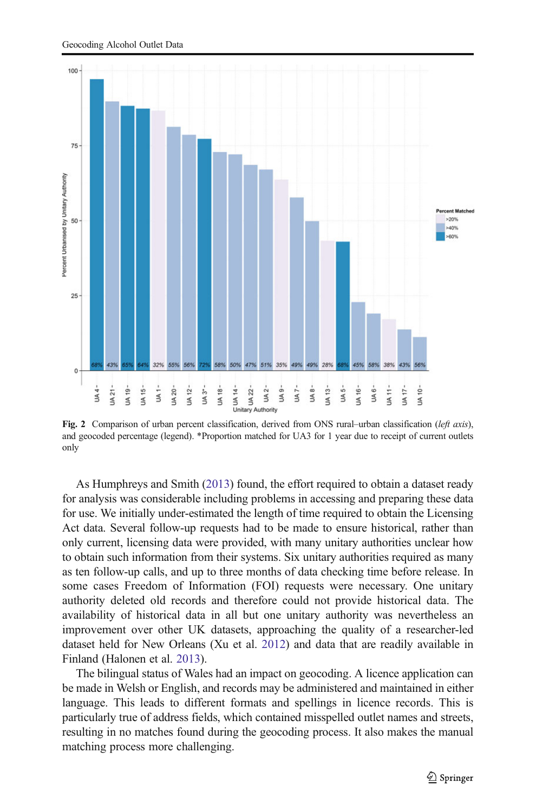<span id="page-9-0"></span>

Fig. 2 Comparison of urban percent classification, derived from ONS rural–urban classification (*left axis*), and geocoded percentage (legend). \*Proportion matched for UA3 for 1 year due to receipt of current outlets only

As Humphreys and Smith [\(2013\)](#page-14-0) found, the effort required to obtain a dataset ready for analysis was considerable including problems in accessing and preparing these data for use. We initially under-estimated the length of time required to obtain the Licensing Act data. Several follow-up requests had to be made to ensure historical, rather than only current, licensing data were provided, with many unitary authorities unclear how to obtain such information from their systems. Six unitary authorities required as many as ten follow-up calls, and up to three months of data checking time before release. In some cases Freedom of Information (FOI) requests were necessary. One unitary authority deleted old records and therefore could not provide historical data. The availability of historical data in all but one unitary authority was nevertheless an improvement over other UK datasets, approaching the quality of a researcher-led dataset held for New Orleans (Xu et al. [2012](#page-15-0)) and data that are readily available in Finland (Halonen et al. [2013](#page-14-0)).

The bilingual status of Wales had an impact on geocoding. A licence application can be made in Welsh or English, and records may be administered and maintained in either language. This leads to different formats and spellings in licence records. This is particularly true of address fields, which contained misspelled outlet names and streets, resulting in no matches found during the geocoding process. It also makes the manual matching process more challenging.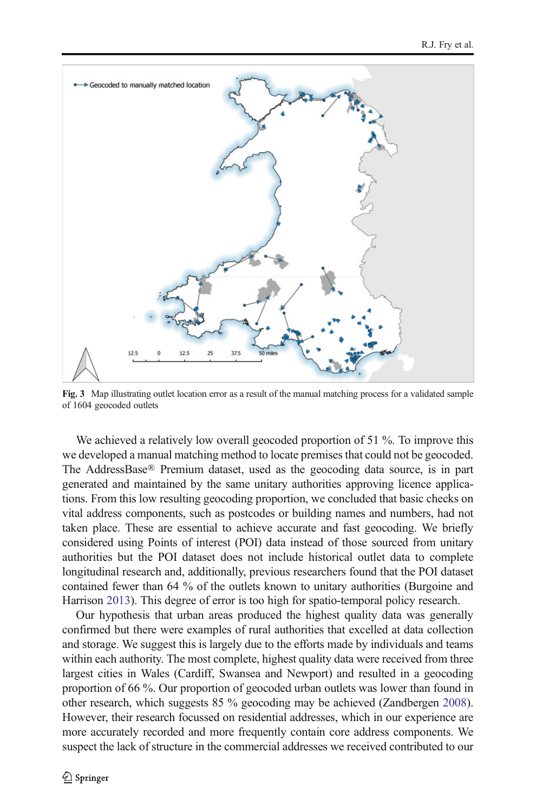<span id="page-10-0"></span>

Fig. 3 Map illustrating outlet location error as a result of the manual matching process for a validated sample of 1604 geocoded outlets

We achieved a relatively low overall geocoded proportion of 51 %. To improve this we developed a manual matching method to locate premises that could not be geocoded. The AddressBase® Premium dataset, used as the geocoding data source, is in part generated and maintained by the same unitary authorities approving licence applications. From this low resulting geocoding proportion, we concluded that basic checks on vital address components, such as postcodes or building names and numbers, had not taken place. These are essential to achieve accurate and fast geocoding. We briefly considered using Points of interest (POI) data instead of those sourced from unitary authorities but the POI dataset does not include historical outlet data to complete longitudinal research and, additionally, previous researchers found that the POI dataset contained fewer than 64 % of the outlets known to unitary authorities (Burgoine and Harrison [2013\)](#page-13-0). This degree of error is too high for spatio-temporal policy research.

Our hypothesis that urban areas produced the highest quality data was generally confirmed but there were examples of rural authorities that excelled at data collection and storage. We suggest this is largely due to the efforts made by individuals and teams within each authority. The most complete, highest quality data were received from three largest cities in Wales (Cardiff, Swansea and Newport) and resulted in a geocoding proportion of 66 %. Our proportion of geocoded urban outlets was lower than found in other research, which suggests 85 % geocoding may be achieved (Zandbergen [2008\)](#page-15-0). However, their research focussed on residential addresses, which in our experience are more accurately recorded and more frequently contain core address components. We suspect the lack of structure in the commercial addresses we received contributed to our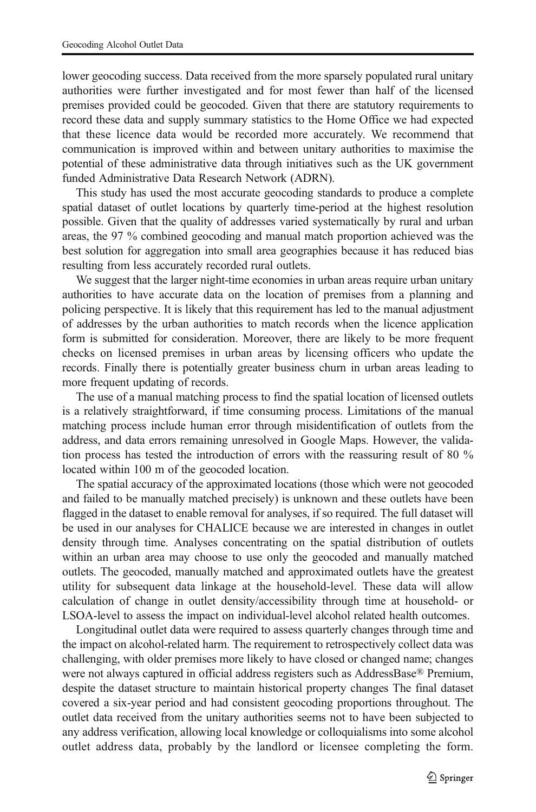lower geocoding success. Data received from the more sparsely populated rural unitary authorities were further investigated and for most fewer than half of the licensed premises provided could be geocoded. Given that there are statutory requirements to record these data and supply summary statistics to the Home Office we had expected that these licence data would be recorded more accurately. We recommend that communication is improved within and between unitary authorities to maximise the potential of these administrative data through initiatives such as the UK government funded Administrative Data Research Network (ADRN).

This study has used the most accurate geocoding standards to produce a complete spatial dataset of outlet locations by quarterly time-period at the highest resolution possible. Given that the quality of addresses varied systematically by rural and urban areas, the 97 % combined geocoding and manual match proportion achieved was the best solution for aggregation into small area geographies because it has reduced bias resulting from less accurately recorded rural outlets.

We suggest that the larger night-time economies in urban areas require urban unitary authorities to have accurate data on the location of premises from a planning and policing perspective. It is likely that this requirement has led to the manual adjustment of addresses by the urban authorities to match records when the licence application form is submitted for consideration. Moreover, there are likely to be more frequent checks on licensed premises in urban areas by licensing officers who update the records. Finally there is potentially greater business churn in urban areas leading to more frequent updating of records.

The use of a manual matching process to find the spatial location of licensed outlets is a relatively straightforward, if time consuming process. Limitations of the manual matching process include human error through misidentification of outlets from the address, and data errors remaining unresolved in Google Maps. However, the validation process has tested the introduction of errors with the reassuring result of 80 % located within 100 m of the geocoded location.

The spatial accuracy of the approximated locations (those which were not geocoded and failed to be manually matched precisely) is unknown and these outlets have been flagged in the dataset to enable removal for analyses, if so required. The full dataset will be used in our analyses for CHALICE because we are interested in changes in outlet density through time. Analyses concentrating on the spatial distribution of outlets within an urban area may choose to use only the geocoded and manually matched outlets. The geocoded, manually matched and approximated outlets have the greatest utility for subsequent data linkage at the household-level. These data will allow calculation of change in outlet density/accessibility through time at household- or LSOA-level to assess the impact on individual-level alcohol related health outcomes.

Longitudinal outlet data were required to assess quarterly changes through time and the impact on alcohol-related harm. The requirement to retrospectively collect data was challenging, with older premises more likely to have closed or changed name; changes were not always captured in official address registers such as AddressBase® Premium, despite the dataset structure to maintain historical property changes The final dataset covered a six-year period and had consistent geocoding proportions throughout. The outlet data received from the unitary authorities seems not to have been subjected to any address verification, allowing local knowledge or colloquialisms into some alcohol outlet address data, probably by the landlord or licensee completing the form.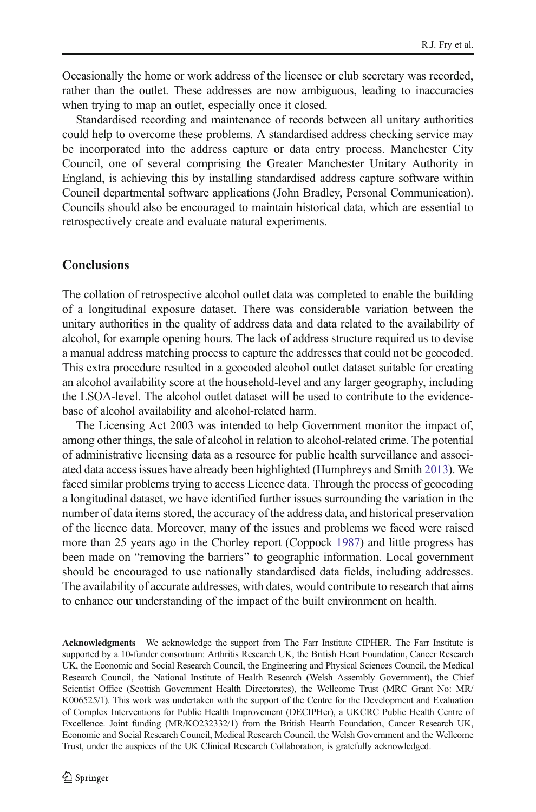Occasionally the home or work address of the licensee or club secretary was recorded, rather than the outlet. These addresses are now ambiguous, leading to inaccuracies when trying to map an outlet, especially once it closed.

Standardised recording and maintenance of records between all unitary authorities could help to overcome these problems. A standardised address checking service may be incorporated into the address capture or data entry process. Manchester City Council, one of several comprising the Greater Manchester Unitary Authority in England, is achieving this by installing standardised address capture software within Council departmental software applications (John Bradley, Personal Communication). Councils should also be encouraged to maintain historical data, which are essential to retrospectively create and evaluate natural experiments.

# **Conclusions**

The collation of retrospective alcohol outlet data was completed to enable the building of a longitudinal exposure dataset. There was considerable variation between the unitary authorities in the quality of address data and data related to the availability of alcohol, for example opening hours. The lack of address structure required us to devise a manual address matching process to capture the addresses that could not be geocoded. This extra procedure resulted in a geocoded alcohol outlet dataset suitable for creating an alcohol availability score at the household-level and any larger geography, including the LSOA-level. The alcohol outlet dataset will be used to contribute to the evidencebase of alcohol availability and alcohol-related harm.

The Licensing Act 2003 was intended to help Government monitor the impact of, among other things, the sale of alcohol in relation to alcohol-related crime. The potential of administrative licensing data as a resource for public health surveillance and associated data access issues have already been highlighted (Humphreys and Smith [2013\)](#page-14-0). We faced similar problems trying to access Licence data. Through the process of geocoding a longitudinal dataset, we have identified further issues surrounding the variation in the number of data items stored, the accuracy of the address data, and historical preservation of the licence data. Moreover, many of the issues and problems we faced were raised more than 25 years ago in the Chorley report (Coppock [1987](#page-13-0)) and little progress has been made on "removing the barriers" to geographic information. Local government should be encouraged to use nationally standardised data fields, including addresses. The availability of accurate addresses, with dates, would contribute to research that aims to enhance our understanding of the impact of the built environment on health.

Acknowledgments We acknowledge the support from The Farr Institute CIPHER. The Farr Institute is supported by a 10-funder consortium: Arthritis Research UK, the British Heart Foundation, Cancer Research UK, the Economic and Social Research Council, the Engineering and Physical Sciences Council, the Medical Research Council, the National Institute of Health Research (Welsh Assembly Government), the Chief Scientist Office (Scottish Government Health Directorates), the Wellcome Trust (MRC Grant No: MR/ K006525/1). This work was undertaken with the support of the Centre for the Development and Evaluation of Complex Interventions for Public Health Improvement (DECIPHer), a UKCRC Public Health Centre of Excellence. Joint funding (MR/KO232332/1) from the British Hearth Foundation, Cancer Research UK, Economic and Social Research Council, Medical Research Council, the Welsh Government and the Wellcome Trust, under the auspices of the UK Clinical Research Collaboration, is gratefully acknowledged.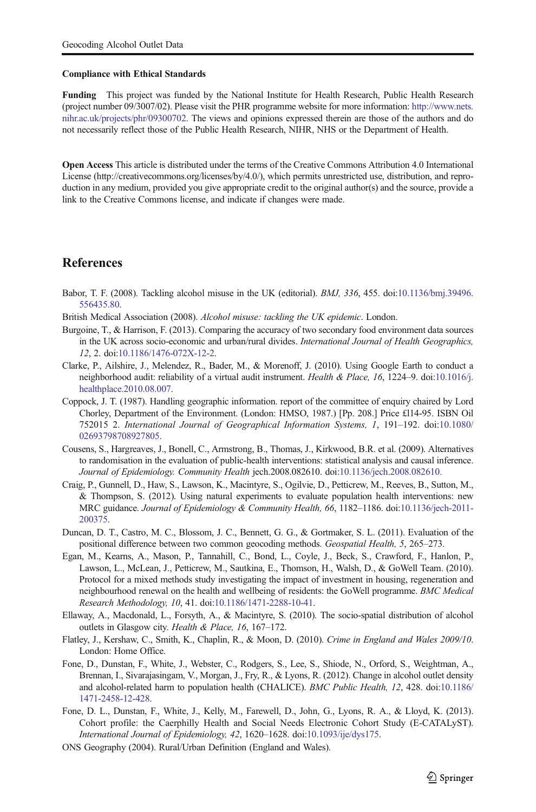#### <span id="page-13-0"></span>Compliance with Ethical Standards

Funding This project was funded by the National Institute for Health Research, Public Health Research (project number 09/3007/02). Please visit the PHR programme website for more information: [http://www.nets.](http://www.nets.nihr.ac.uk/projects/phr/09300702) [nihr.ac.uk/projects/phr/09300702.](http://www.nets.nihr.ac.uk/projects/phr/09300702) The views and opinions expressed therein are those of the authors and do not necessarily reflect those of the Public Health Research, NIHR, NHS or the Department of Health.

Open Access This article is distributed under the terms of the Creative Commons Attribution 4.0 International License (http://creativecommons.org/licenses/by/4.0/), which permits unrestricted use, distribution, and reproduction in any medium, provided you give appropriate credit to the original author(s) and the source, provide a link to the Creative Commons license, and indicate if changes were made.

### **References**

- Babor, T. F. (2008). Tackling alcohol misuse in the UK (editorial). *BMJ, 336*, 455. doi[:10.1136/bmj.39496.](http://dx.doi.org/10.1136/bmj.39496.556435.80) [556435.80.](http://dx.doi.org/10.1136/bmj.39496.556435.80)
- British Medical Association (2008). *Alcohol misuse: tackling the UK epidemic*. London.
- Burgoine, T., & Harrison, F. (2013). Comparing the accuracy of two secondary food environment data sources in the UK across socio-economic and urban/rural divides. *International Journal of Health Geographics, 12*, 2. doi[:10.1186/1476-072X-12-2.](http://dx.doi.org/10.1186/1476-072X-12-2)
- Clarke, P., Ailshire, J., Melendez, R., Bader, M., & Morenoff, J. (2010). Using Google Earth to conduct a neighborhood audit: reliability of a virtual audit instrument. *Health & Place, 16*, 1224–9. doi[:10.1016/j.](http://dx.doi.org/10.1016/j.healthplace.2010.08.007) [healthplace.2010.08.007](http://dx.doi.org/10.1016/j.healthplace.2010.08.007).
- Coppock, J. T. (1987). Handling geographic information. report of the committee of enquiry chaired by Lord Chorley, Department of the Environment. (London: HMSO, 1987.) [Pp. 208.] Price £l14-95. ISBN Oil 752015 2. *International Journal of Geographical Information Systems, 1*, 191–192. doi[:10.1080/](http://dx.doi.org/10.1080/02693798708927805) [02693798708927805.](http://dx.doi.org/10.1080/02693798708927805)
- Cousens, S., Hargreaves, J., Bonell, C., Armstrong, B., Thomas, J., Kirkwood, B.R. et al. (2009). Alternatives to randomisation in the evaluation of public-health interventions: statistical analysis and causal inference. *Journal of Epidemiology. Community Health* jech.2008.082610. doi:[10.1136/jech.2008.082610.](http://dx.doi.org/10.1136/jech.2008.082610)
- Craig, P., Gunnell, D., Haw, S., Lawson, K., Macintyre, S., Ogilvie, D., Petticrew, M., Reeves, B., Sutton, M., & Thompson, S. (2012). Using natural experiments to evaluate population health interventions: new MRC guidance. *Journal of Epidemiology & Community Health, 66*, 1182–1186. doi[:10.1136/jech-2011-](http://dx.doi.org/10.1136/jech-2011-200375) [200375](http://dx.doi.org/10.1136/jech-2011-200375).
- Duncan, D. T., Castro, M. C., Blossom, J. C., Bennett, G. G., & Gortmaker, S. L. (2011). Evaluation of the positional difference between two common geocoding methods. *Geospatial Health, 5*, 265–273.
- Egan, M., Kearns, A., Mason, P., Tannahill, C., Bond, L., Coyle, J., Beck, S., Crawford, F., Hanlon, P., Lawson, L., McLean, J., Petticrew, M., Sautkina, E., Thomson, H., Walsh, D., & GoWell Team. (2010). Protocol for a mixed methods study investigating the impact of investment in housing, regeneration and neighbourhood renewal on the health and wellbeing of residents: the GoWell programme. *BMC Medical Research Methodology, 10*, 41. doi[:10.1186/1471-2288-10-41.](http://dx.doi.org/10.1186/1471-2288-10-41)
- Ellaway, A., Macdonald, L., Forsyth, A., & Macintyre, S. (2010). The socio-spatial distribution of alcohol outlets in Glasgow city. *Health & Place, 16*, 167–172.
- Flatley, J., Kershaw, C., Smith, K., Chaplin, R., & Moon, D. (2010). *Crime in England and Wales 2009/10*. London: Home Office.
- Fone, D., Dunstan, F., White, J., Webster, C., Rodgers, S., Lee, S., Shiode, N., Orford, S., Weightman, A., Brennan, I., Sivarajasingam, V., Morgan, J., Fry, R., & Lyons, R. (2012). Change in alcohol outlet density and alcohol-related harm to population health (CHALICE). *BMC Public Health, 12*, 428. doi[:10.1186/](http://dx.doi.org/10.1186/1471-2458-12-428) [1471-2458-12-428.](http://dx.doi.org/10.1186/1471-2458-12-428)
- Fone, D. L., Dunstan, F., White, J., Kelly, M., Farewell, D., John, G., Lyons, R. A., & Lloyd, K. (2013). Cohort profile: the Caerphilly Health and Social Needs Electronic Cohort Study (E-CATALyST). *International Journal of Epidemiology, 42*, 1620–1628. doi:[10.1093/ije/dys175.](http://dx.doi.org/10.1093/ije/dys175)
- ONS Geography (2004). Rural/Urban Definition (England and Wales).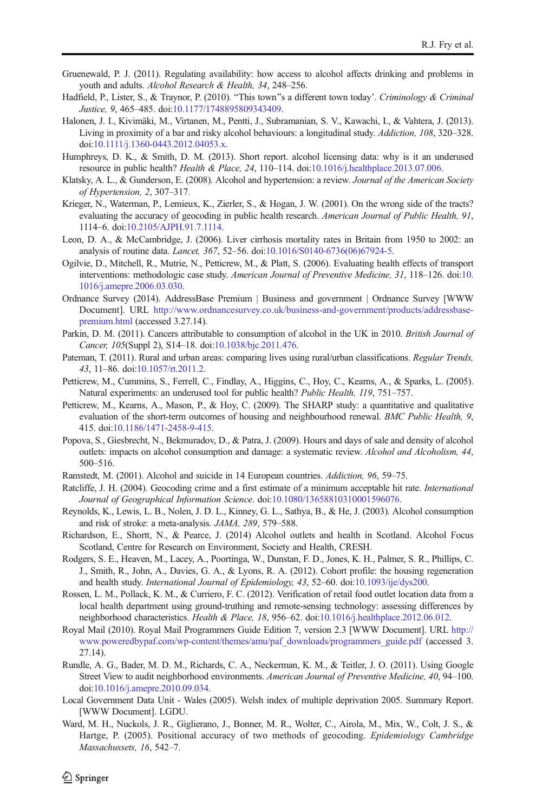- <span id="page-14-0"></span>Gruenewald, P. J. (2011). Regulating availability: how access to alcohol affects drinking and problems in youth and adults. *Alcohol Research & Health, 34*, 248–256.
- Hadfield, P., Lister, S., & Traynor, P. (2010). "This town"s a different town today'. *Criminology & Criminal Justice, 9*, 465–485. doi:[10.1177/1748895809343409.](http://dx.doi.org/10.1177/1748895809343409)
- Halonen, J. I., Kivimäki, M., Virtanen, M., Pentti, J., Subramanian, S. V., Kawachi, I., & Vahtera, J. (2013). Living in proximity of a bar and risky alcohol behaviours: a longitudinal study. *Addiction, 108*, 320–328. doi:[10.1111/j.1360-0443.2012.04053.x](http://dx.doi.org/10.1111/j.1360-0443.2012.04053.x).
- Humphreys, D. K., & Smith, D. M. (2013). Short report. alcohol licensing data: why is it an underused resource in public health? *Health & Place, 24*, 110–114. doi[:10.1016/j.healthplace.2013.07.006.](http://dx.doi.org/10.1016/j.healthplace.2013.07.006)
- Klatsky, A. L., & Gunderson, E. (2008). Alcohol and hypertension: a review. *Journal of the American Society of Hypertension, 2*, 307–317.
- Krieger, N., Waterman, P., Lemieux, K., Zierler, S., & Hogan, J. W. (2001). On the wrong side of the tracts? evaluating the accuracy of geocoding in public health research. *American Journal of Public Health, 91*, 1114–6. doi[:10.2105/AJPH.91.7.1114.](http://dx.doi.org/10.2105/AJPH.91.7.1114)
- Leon, D. A., & McCambridge, J. (2006). Liver cirrhosis mortality rates in Britain from 1950 to 2002: an analysis of routine data. *Lancet, 367*, 52–56. doi[:10.1016/S0140-6736\(06\)67924-5](http://dx.doi.org/10.1016/S0140-6736(06)67924-5).
- Ogilvie, D., Mitchell, R., Mutrie, N., Petticrew, M., & Platt, S. (2006). Evaluating health effects of transport interventions: methodologic case study. *American Journal of Preventive Medicine, 31*, 118–126. doi:[10.](http://dx.doi.org/10.1016/j.amepre.2006.03.030) [1016/j.amepre.2006.03.030](http://dx.doi.org/10.1016/j.amepre.2006.03.030).
- Ordnance Survey (2014). AddressBase Premium | Business and government | Ordnance Survey [WWW Document]. URL [http://www.ordnancesurvey.co.uk/business-and-government/products/addressbase](http://www.ordnancesurvey.co.uk/business-and-government/products/addressbase-premium.html)[premium.html](http://www.ordnancesurvey.co.uk/business-and-government/products/addressbase-premium.html) (accessed 3.27.14).
- Parkin, D. M. (2011). Cancers attributable to consumption of alcohol in the UK in 2010. *British Journal of Cancer, 105*(Suppl 2), S14–18. doi[:10.1038/bjc.2011.476](http://dx.doi.org/10.1038/bjc.2011.476).
- Pateman, T. (2011). Rural and urban areas: comparing lives using rural/urban classifications. *Regular Trends, 43*, 11–86. doi[:10.1057/rt.2011.2.](http://dx.doi.org/10.1057/rt.2011.2)
- Petticrew, M., Cummins, S., Ferrell, C., Findlay, A., Higgins, C., Hoy, C., Kearns, A., & Sparks, L. (2005). Natural experiments: an underused tool for public health? *Public Health, 119*, 751–757.
- Petticrew, M., Kearns, A., Mason, P., & Hoy, C. (2009). The SHARP study: a quantitative and qualitative evaluation of the short-term outcomes of housing and neighbourhood renewal. *BMC Public Health, 9*, 415. doi:[10.1186/1471-2458-9-415.](http://dx.doi.org/10.1186/1471-2458-9-415)
- Popova, S., Giesbrecht, N., Bekmuradov, D., & Patra, J. (2009). Hours and days of sale and density of alcohol outlets: impacts on alcohol consumption and damage: a systematic review. *Alcohol and Alcoholism, 44*, 500–516.
- Ramstedt, M. (2001). Alcohol and suicide in 14 European countries. *Addiction, 96*, 59–75.
- Ratcliffe, J. H. (2004). Geocoding crime and a first estimate of a minimum acceptable hit rate. *International Journal of Geographical Information Science*. doi[:10.1080/13658810310001596076.](http://dx.doi.org/10.1080/13658810310001596076)
- Reynolds, K., Lewis, L. B., Nolen, J. D. L., Kinney, G. L., Sathya, B., & He, J. (2003). Alcohol consumption and risk of stroke: a meta-analysis. *JAMA, 289*, 579–588.
- Richardson, E., Shortt, N., & Pearce, J. (2014) Alcohol outlets and health in Scotland. Alcohol Focus Scotland, Centre for Research on Environment, Society and Health, CRESH.
- Rodgers, S. E., Heaven, M., Lacey, A., Poortinga, W., Dunstan, F. D., Jones, K. H., Palmer, S. R., Phillips, C. J., Smith, R., John, A., Davies, G. A., & Lyons, R. A. (2012). Cohort profile: the housing regeneration and health study. *International Journal of Epidemiology, 43*, 52–60. doi[:10.1093/ije/dys200](http://dx.doi.org/10.1093/ije/dys200).
- Rossen, L. M., Pollack, K. M., & Curriero, F. C. (2012). Verification of retail food outlet location data from a local health department using ground-truthing and remote-sensing technology: assessing differences by neighborhood characteristics. *Health & Place, 18*, 956–62. doi[:10.1016/j.healthplace.2012.06.012.](http://dx.doi.org/10.1016/j.healthplace.2012.06.012)
- Royal Mail (2010). Royal Mail Programmers Guide Edition 7, version 2.3 [WWW Document]. URL [http://](http://www.poweredbypaf.com/wp-content/themes/amu/paf_downloads/programmers_guide.pdf) [www.poweredbypaf.com/wp-content/themes/amu/paf\\_downloads/programmers\\_guide.pdf](http://www.poweredbypaf.com/wp-content/themes/amu/paf_downloads/programmers_guide.pdf) (accessed 3. 27.14).
- Rundle, A. G., Bader, M. D. M., Richards, C. A., Neckerman, K. M., & Teitler, J. O. (2011). Using Google Street View to audit neighborhood environments. *American Journal of Preventive Medicine, 40*, 94–100. doi:[10.1016/j.amepre.2010.09.034](http://dx.doi.org/10.1016/j.amepre.2010.09.034).
- Local Government Data Unit Wales (2005). Welsh index of multiple deprivation 2005. Summary Report. [WWW Document]. LGDU.
- Ward, M. H., Nuckols, J. R., Giglierano, J., Bonner, M. R., Wolter, C., Airola, M., Mix, W., Colt, J. S., & Hartge, P. (2005). Positional accuracy of two methods of geocoding. *Epidemiology Cambridge Massachussets, 16*, 542–7.